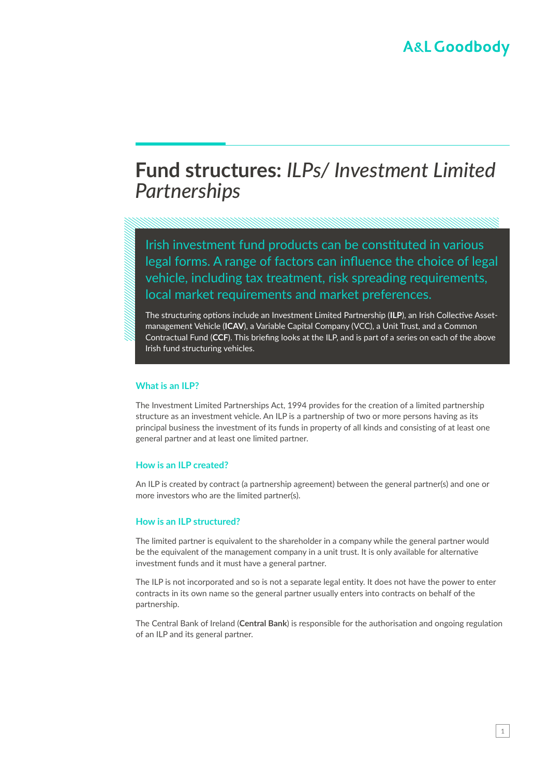## **Fund structures:** *ILPs/ Investment Limited Partnerships*

Irish investment fund products can be constituted in various legal forms. A range of factors can influence the choice of legal vehicle, including tax treatment, risk spreading requirements, local market requirements and market preferences.

The structuring options include an Investment Limited Partnership (**ILP**), an Irish Collective Assetmanagement Vehicle (**ICAV**), a Variable Capital Company (VCC), a Unit Trust, and a Common Contractual Fund (**CCF**). This briefing looks at the ILP, and is part of a series on each of the above Irish fund structuring vehicles.

#### **What is an ILP?**

The Investment Limited Partnerships Act, 1994 provides for the creation of a limited partnership structure as an investment vehicle. An ILP is a partnership of two or more persons having as its principal business the investment of its funds in property of all kinds and consisting of at least one general partner and at least one limited partner.

#### **How is an ILP created?**

An ILP is created by contract (a partnership agreement) between the general partner(s) and one or more investors who are the limited partner(s).

#### **How is an ILP structured?**

The limited partner is equivalent to the shareholder in a company while the general partner would be the equivalent of the management company in a unit trust. It is only available for alternative investment funds and it must have a general partner.

The ILP is not incorporated and so is not a separate legal entity. It does not have the power to enter contracts in its own name so the general partner usually enters into contracts on behalf of the partnership.

The Central Bank of Ireland (**Central Bank**) is responsible for the authorisation and ongoing regulation of an ILP and its general partner.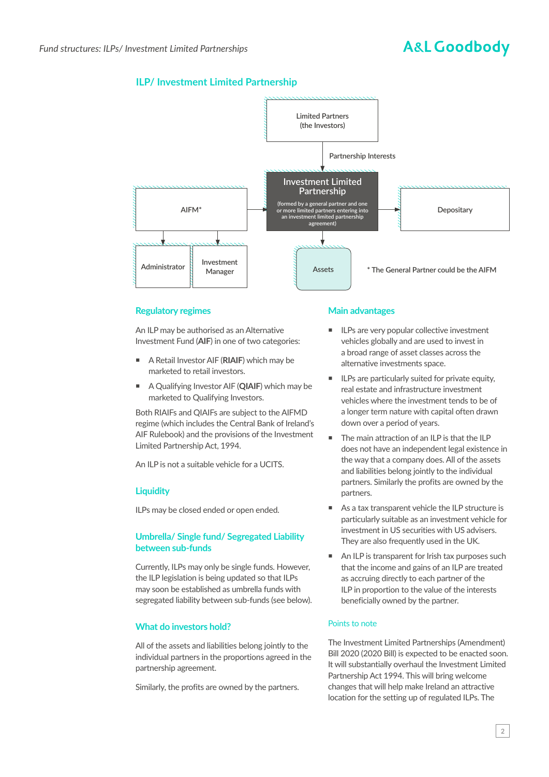# **A&L Goodbody**

## **ILP/ Investment Limited Partnership**



### **Regulatory regimes**

An ILP may be authorised as an Alternative Investment Fund (**AIF**) in one of two categories:

- A Retail Investor AIF (**RIAIF**) which may be marketed to retail investors.
- A Qualifying Investor AIF (**QIAIF**) which may be marketed to Qualifying Investors.

Both RIAIFs and QIAIFs are subject to the AIFMD regime (which includes the Central Bank of Ireland's AIF Rulebook) and the provisions of the Investment Limited Partnership Act, 1994.

An ILP is not a suitable vehicle for a UCITS.

## **Liquidity**

ILPs may be closed ended or open ended.

### **Umbrella/ Single fund/ Segregated Liability between sub-funds**

Currently, ILPs may only be single funds. However, the ILP legislation is being updated so that ILPs may soon be established as umbrella funds with segregated liability between sub-funds (see below).

## **What do investors hold?**

All of the assets and liabilities belong jointly to the individual partners in the proportions agreed in the partnership agreement.

Similarly, the profits are owned by the partners.

### **Main advantages**

- ILPs are very popular collective investment vehicles globally and are used to invest in a broad range of asset classes across the alternative investments space.
- ILPs are particularly suited for private equity, real estate and infrastructure investment vehicles where the investment tends to be of a longer term nature with capital often drawn down over a period of years.
- The main attraction of an ILP is that the ILP does not have an independent legal existence in the way that a company does. All of the assets and liabilities belong jointly to the individual partners. Similarly the profits are owned by the partners.
- As a tax transparent vehicle the ILP structure is particularly suitable as an investment vehicle for investment in US securities with US advisers. They are also frequently used in the UK.
- An ILP is transparent for Irish tax purposes such that the income and gains of an ILP are treated as accruing directly to each partner of the ILP in proportion to the value of the interests beneficially owned by the partner.

#### Points to note

The Investment Limited Partnerships (Amendment) Bill 2020 (2020 Bill) is expected to be enacted soon. It will substantially overhaul the Investment Limited Partnership Act 1994. This will bring welcome changes that will help make Ireland an attractive location for the setting up of regulated ILPs. The